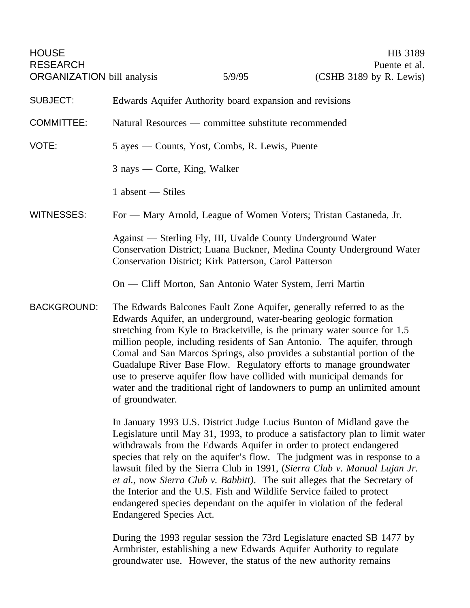| <b>HOUSE</b><br><b>RESEARCH</b><br><b>ORGANIZATION</b> bill analysis |                                                                                                                                                                                                                                                                                                                                                                                                                                                                                                                                                                                                                                                         | 5/9/95                                                    | HB 3189<br>Puente et al.<br>$(CSHB 3189$ by R. Lewis)                   |
|----------------------------------------------------------------------|---------------------------------------------------------------------------------------------------------------------------------------------------------------------------------------------------------------------------------------------------------------------------------------------------------------------------------------------------------------------------------------------------------------------------------------------------------------------------------------------------------------------------------------------------------------------------------------------------------------------------------------------------------|-----------------------------------------------------------|-------------------------------------------------------------------------|
| <b>SUBJECT:</b>                                                      | Edwards Aquifer Authority board expansion and revisions                                                                                                                                                                                                                                                                                                                                                                                                                                                                                                                                                                                                 |                                                           |                                                                         |
| <b>COMMITTEE:</b>                                                    | Natural Resources — committee substitute recommended                                                                                                                                                                                                                                                                                                                                                                                                                                                                                                                                                                                                    |                                                           |                                                                         |
| VOTE:                                                                | 5 ayes — Counts, Yost, Combs, R. Lewis, Puente                                                                                                                                                                                                                                                                                                                                                                                                                                                                                                                                                                                                          |                                                           |                                                                         |
|                                                                      | 3 nays — Corte, King, Walker                                                                                                                                                                                                                                                                                                                                                                                                                                                                                                                                                                                                                            |                                                           |                                                                         |
|                                                                      | 1 absent - Stiles                                                                                                                                                                                                                                                                                                                                                                                                                                                                                                                                                                                                                                       |                                                           |                                                                         |
| <b>WITNESSES:</b>                                                    | For — Mary Arnold, League of Women Voters; Tristan Castaneda, Jr.                                                                                                                                                                                                                                                                                                                                                                                                                                                                                                                                                                                       |                                                           |                                                                         |
|                                                                      | Against — Sterling Fly, III, Uvalde County Underground Water<br>Conservation District; Luana Buckner, Medina County Underground Water<br>Conservation District; Kirk Patterson, Carol Patterson                                                                                                                                                                                                                                                                                                                                                                                                                                                         |                                                           |                                                                         |
|                                                                      |                                                                                                                                                                                                                                                                                                                                                                                                                                                                                                                                                                                                                                                         | On — Cliff Morton, San Antonio Water System, Jerri Martin |                                                                         |
| <b>BACKGROUND:</b>                                                   | The Edwards Balcones Fault Zone Aquifer, generally referred to as the<br>Edwards Aquifer, an underground, water-bearing geologic formation<br>stretching from Kyle to Bracketville, is the primary water source for 1.5<br>million people, including residents of San Antonio. The aquifer, through<br>Comal and San Marcos Springs, also provides a substantial portion of the<br>Guadalupe River Base Flow. Regulatory efforts to manage groundwater<br>use to preserve aquifer flow have collided with municipal demands for<br>water and the traditional right of landowners to pump an unlimited amount<br>of groundwater.                         |                                                           |                                                                         |
|                                                                      | In January 1993 U.S. District Judge Lucius Bunton of Midland gave the<br>Legislature until May 31, 1993, to produce a satisfactory plan to limit water<br>withdrawals from the Edwards Aquifer in order to protect endangered<br>species that rely on the aquifer's flow. The judgment was in response to a<br>lawsuit filed by the Sierra Club in 1991, (Sierra Club v. Manual Lujan Jr.<br>et al., now Sierra Club v. Babbitt). The suit alleges that the Secretary of<br>the Interior and the U.S. Fish and Wildlife Service failed to protect<br>endangered species dependant on the aquifer in violation of the federal<br>Endangered Species Act. |                                                           |                                                                         |
|                                                                      |                                                                                                                                                                                                                                                                                                                                                                                                                                                                                                                                                                                                                                                         |                                                           | During the 1993 regular session the 73rd Legislature enacted SB 1477 by |

Armbrister, establishing a new Edwards Aquifer Authority to regulate groundwater use. However, the status of the new authority remains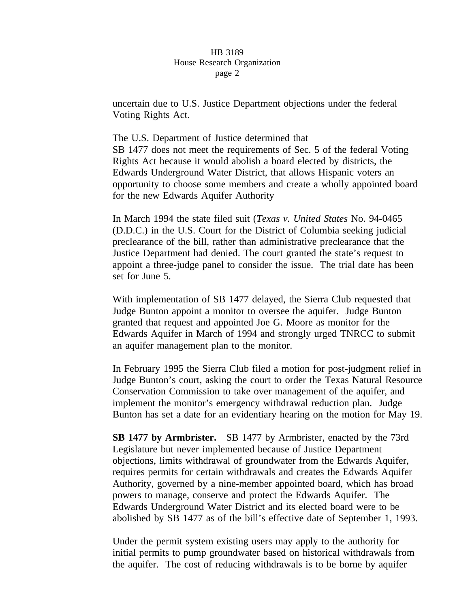uncertain due to U.S. Justice Department objections under the federal Voting Rights Act.

The U.S. Department of Justice determined that SB 1477 does not meet the requirements of Sec. 5 of the federal Voting Rights Act because it would abolish a board elected by districts, the Edwards Underground Water District, that allows Hispanic voters an opportunity to choose some members and create a wholly appointed board for the new Edwards Aquifer Authority

In March 1994 the state filed suit (*Texas v. United States* No. 94-0465 (D.D.C.) in the U.S. Court for the District of Columbia seeking judicial preclearance of the bill, rather than administrative preclearance that the Justice Department had denied. The court granted the state's request to appoint a three-judge panel to consider the issue. The trial date has been set for June 5.

With implementation of SB 1477 delayed, the Sierra Club requested that Judge Bunton appoint a monitor to oversee the aquifer. Judge Bunton granted that request and appointed Joe G. Moore as monitor for the Edwards Aquifer in March of 1994 and strongly urged TNRCC to submit an aquifer management plan to the monitor.

In February 1995 the Sierra Club filed a motion for post-judgment relief in Judge Bunton's court, asking the court to order the Texas Natural Resource Conservation Commission to take over management of the aquifer, and implement the monitor's emergency withdrawal reduction plan. Judge Bunton has set a date for an evidentiary hearing on the motion for May 19.

**SB 1477 by Armbrister.** SB 1477 by Armbrister, enacted by the 73rd Legislature but never implemented because of Justice Department objections, limits withdrawal of groundwater from the Edwards Aquifer, requires permits for certain withdrawals and creates the Edwards Aquifer Authority, governed by a nine-member appointed board, which has broad powers to manage, conserve and protect the Edwards Aquifer. The Edwards Underground Water District and its elected board were to be abolished by SB 1477 as of the bill's effective date of September 1, 1993.

Under the permit system existing users may apply to the authority for initial permits to pump groundwater based on historical withdrawals from the aquifer. The cost of reducing withdrawals is to be borne by aquifer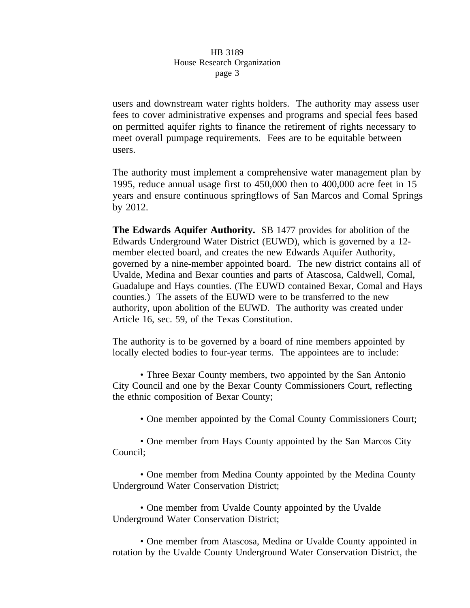users and downstream water rights holders. The authority may assess user fees to cover administrative expenses and programs and special fees based on permitted aquifer rights to finance the retirement of rights necessary to meet overall pumpage requirements. Fees are to be equitable between users.

The authority must implement a comprehensive water management plan by 1995, reduce annual usage first to 450,000 then to 400,000 acre feet in 15 years and ensure continuous springflows of San Marcos and Comal Springs by 2012.

**The Edwards Aquifer Authority.** SB 1477 provides for abolition of the Edwards Underground Water District (EUWD), which is governed by a 12 member elected board, and creates the new Edwards Aquifer Authority, governed by a nine-member appointed board. The new district contains all of Uvalde, Medina and Bexar counties and parts of Atascosa, Caldwell, Comal, Guadalupe and Hays counties. (The EUWD contained Bexar, Comal and Hays counties.) The assets of the EUWD were to be transferred to the new authority, upon abolition of the EUWD. The authority was created under Article 16, sec. 59, of the Texas Constitution.

The authority is to be governed by a board of nine members appointed by locally elected bodies to four-year terms. The appointees are to include:

• Three Bexar County members, two appointed by the San Antonio City Council and one by the Bexar County Commissioners Court, reflecting the ethnic composition of Bexar County;

• One member appointed by the Comal County Commissioners Court;

• One member from Hays County appointed by the San Marcos City Council;

• One member from Medina County appointed by the Medina County Underground Water Conservation District;

• One member from Uvalde County appointed by the Uvalde Underground Water Conservation District;

• One member from Atascosa, Medina or Uvalde County appointed in rotation by the Uvalde County Underground Water Conservation District, the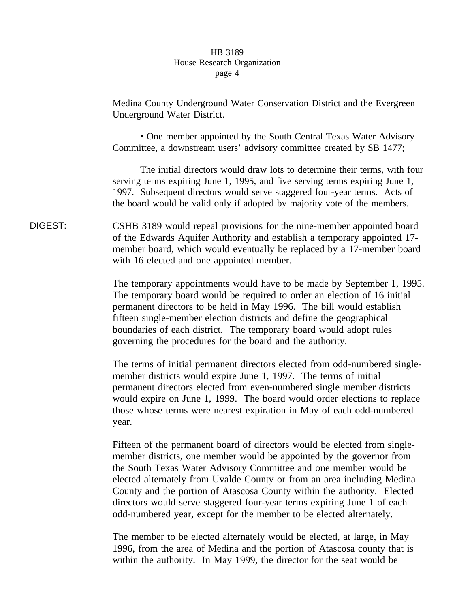Medina County Underground Water Conservation District and the Evergreen Underground Water District.

• One member appointed by the South Central Texas Water Advisory Committee, a downstream users' advisory committee created by SB 1477;

The initial directors would draw lots to determine their terms, with four serving terms expiring June 1, 1995, and five serving terms expiring June 1, 1997. Subsequent directors would serve staggered four-year terms. Acts of the board would be valid only if adopted by majority vote of the members.

DIGEST: CSHB 3189 would repeal provisions for the nine-member appointed board of the Edwards Aquifer Authority and establish a temporary appointed 17 member board, which would eventually be replaced by a 17-member board with 16 elected and one appointed member.

> The temporary appointments would have to be made by September 1, 1995. The temporary board would be required to order an election of 16 initial permanent directors to be held in May 1996. The bill would establish fifteen single-member election districts and define the geographical boundaries of each district. The temporary board would adopt rules governing the procedures for the board and the authority.

The terms of initial permanent directors elected from odd-numbered singlemember districts would expire June 1, 1997. The terms of initial permanent directors elected from even-numbered single member districts would expire on June 1, 1999. The board would order elections to replace those whose terms were nearest expiration in May of each odd-numbered year.

Fifteen of the permanent board of directors would be elected from singlemember districts, one member would be appointed by the governor from the South Texas Water Advisory Committee and one member would be elected alternately from Uvalde County or from an area including Medina County and the portion of Atascosa County within the authority. Elected directors would serve staggered four-year terms expiring June 1 of each odd-numbered year, except for the member to be elected alternately.

The member to be elected alternately would be elected, at large, in May 1996, from the area of Medina and the portion of Atascosa county that is within the authority. In May 1999, the director for the seat would be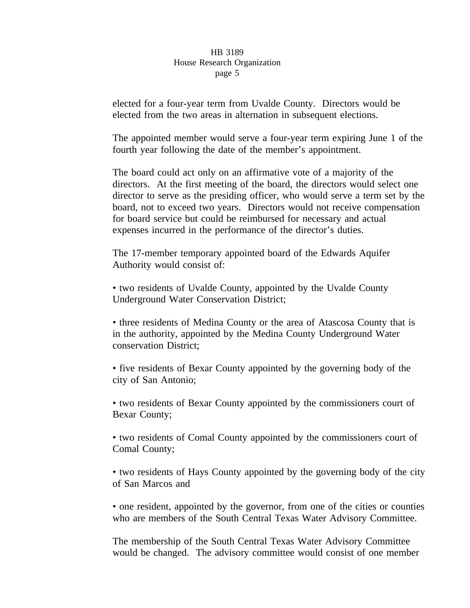elected for a four-year term from Uvalde County. Directors would be elected from the two areas in alternation in subsequent elections.

The appointed member would serve a four-year term expiring June 1 of the fourth year following the date of the member's appointment.

The board could act only on an affirmative vote of a majority of the directors. At the first meeting of the board, the directors would select one director to serve as the presiding officer, who would serve a term set by the board, not to exceed two years. Directors would not receive compensation for board service but could be reimbursed for necessary and actual expenses incurred in the performance of the director's duties.

The 17-member temporary appointed board of the Edwards Aquifer Authority would consist of:

• two residents of Uvalde County, appointed by the Uvalde County Underground Water Conservation District;

• three residents of Medina County or the area of Atascosa County that is in the authority, appointed by the Medina County Underground Water conservation District;

• five residents of Bexar County appointed by the governing body of the city of San Antonio;

• two residents of Bexar County appointed by the commissioners court of Bexar County;

• two residents of Comal County appointed by the commissioners court of Comal County;

• two residents of Hays County appointed by the governing body of the city of San Marcos and

• one resident, appointed by the governor, from one of the cities or counties who are members of the South Central Texas Water Advisory Committee.

The membership of the South Central Texas Water Advisory Committee would be changed. The advisory committee would consist of one member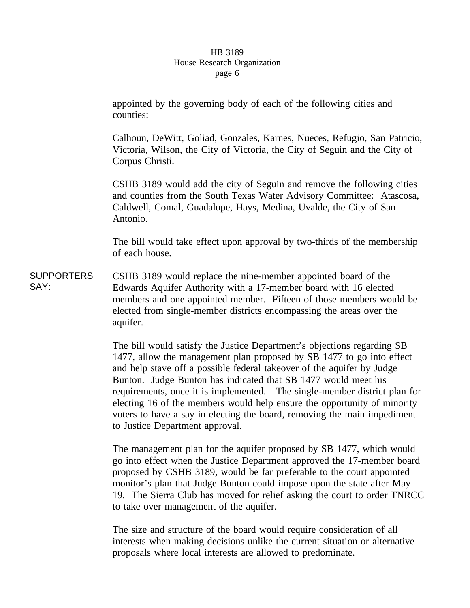appointed by the governing body of each of the following cities and counties:

Calhoun, DeWitt, Goliad, Gonzales, Karnes, Nueces, Refugio, San Patricio, Victoria, Wilson, the City of Victoria, the City of Seguin and the City of Corpus Christi.

CSHB 3189 would add the city of Seguin and remove the following cities and counties from the South Texas Water Advisory Committee: Atascosa, Caldwell, Comal, Guadalupe, Hays, Medina, Uvalde, the City of San Antonio.

The bill would take effect upon approval by two-thirds of the membership of each house.

**SUPPORTERS** SAY: CSHB 3189 would replace the nine-member appointed board of the Edwards Aquifer Authority with a 17-member board with 16 elected members and one appointed member. Fifteen of those members would be elected from single-member districts encompassing the areas over the aquifer.

> The bill would satisfy the Justice Department's objections regarding SB 1477, allow the management plan proposed by SB 1477 to go into effect and help stave off a possible federal takeover of the aquifer by Judge Bunton. Judge Bunton has indicated that SB 1477 would meet his requirements, once it is implemented. The single-member district plan for electing 16 of the members would help ensure the opportunity of minority voters to have a say in electing the board, removing the main impediment to Justice Department approval.

> The management plan for the aquifer proposed by SB 1477, which would go into effect when the Justice Department approved the 17-member board proposed by CSHB 3189, would be far preferable to the court appointed monitor's plan that Judge Bunton could impose upon the state after May 19. The Sierra Club has moved for relief asking the court to order TNRCC to take over management of the aquifer.

The size and structure of the board would require consideration of all interests when making decisions unlike the current situation or alternative proposals where local interests are allowed to predominate.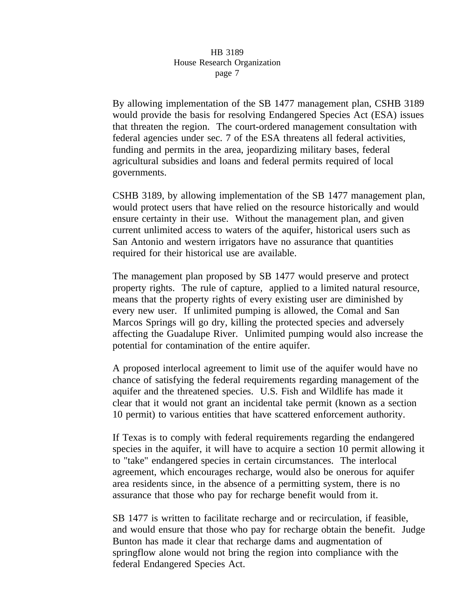By allowing implementation of the SB 1477 management plan, CSHB 3189 would provide the basis for resolving Endangered Species Act (ESA) issues that threaten the region. The court-ordered management consultation with federal agencies under sec. 7 of the ESA threatens all federal activities, funding and permits in the area, jeopardizing military bases, federal agricultural subsidies and loans and federal permits required of local governments.

CSHB 3189, by allowing implementation of the SB 1477 management plan, would protect users that have relied on the resource historically and would ensure certainty in their use. Without the management plan, and given current unlimited access to waters of the aquifer, historical users such as San Antonio and western irrigators have no assurance that quantities required for their historical use are available.

The management plan proposed by SB 1477 would preserve and protect property rights. The rule of capture, applied to a limited natural resource, means that the property rights of every existing user are diminished by every new user. If unlimited pumping is allowed, the Comal and San Marcos Springs will go dry, killing the protected species and adversely affecting the Guadalupe River. Unlimited pumping would also increase the potential for contamination of the entire aquifer.

A proposed interlocal agreement to limit use of the aquifer would have no chance of satisfying the federal requirements regarding management of the aquifer and the threatened species. U.S. Fish and Wildlife has made it clear that it would not grant an incidental take permit (known as a section 10 permit) to various entities that have scattered enforcement authority.

If Texas is to comply with federal requirements regarding the endangered species in the aquifer, it will have to acquire a section 10 permit allowing it to "take" endangered species in certain circumstances. The interlocal agreement, which encourages recharge, would also be onerous for aquifer area residents since, in the absence of a permitting system, there is no assurance that those who pay for recharge benefit would from it.

SB 1477 is written to facilitate recharge and or recirculation, if feasible, and would ensure that those who pay for recharge obtain the benefit. Judge Bunton has made it clear that recharge dams and augmentation of springflow alone would not bring the region into compliance with the federal Endangered Species Act.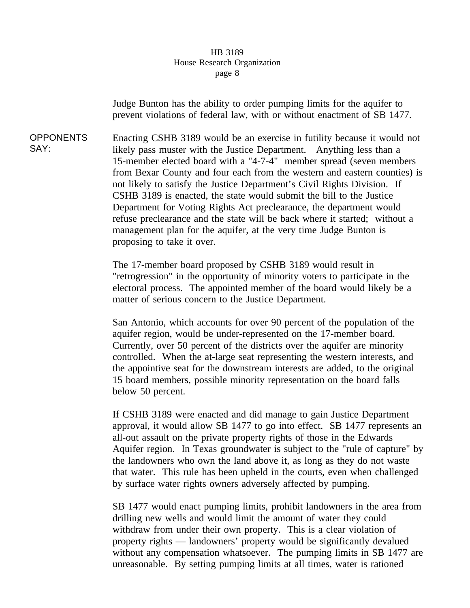Judge Bunton has the ability to order pumping limits for the aquifer to prevent violations of federal law, with or without enactment of SB 1477.

OPPONENTS SAY: Enacting CSHB 3189 would be an exercise in futility because it would not likely pass muster with the Justice Department. Anything less than a 15-member elected board with a "4-7-4" member spread (seven members from Bexar County and four each from the western and eastern counties) is not likely to satisfy the Justice Department's Civil Rights Division. If CSHB 3189 is enacted, the state would submit the bill to the Justice Department for Voting Rights Act preclearance, the department would refuse preclearance and the state will be back where it started; without a management plan for the aquifer, at the very time Judge Bunton is proposing to take it over.

> The 17-member board proposed by CSHB 3189 would result in "retrogression" in the opportunity of minority voters to participate in the electoral process. The appointed member of the board would likely be a matter of serious concern to the Justice Department.

> San Antonio, which accounts for over 90 percent of the population of the aquifer region, would be under-represented on the 17-member board. Currently, over 50 percent of the districts over the aquifer are minority controlled. When the at-large seat representing the western interests, and the appointive seat for the downstream interests are added, to the original 15 board members, possible minority representation on the board falls below 50 percent.

If CSHB 3189 were enacted and did manage to gain Justice Department approval, it would allow SB 1477 to go into effect. SB 1477 represents an all-out assault on the private property rights of those in the Edwards Aquifer region. In Texas groundwater is subject to the "rule of capture" by the landowners who own the land above it, as long as they do not waste that water. This rule has been upheld in the courts, even when challenged by surface water rights owners adversely affected by pumping.

SB 1477 would enact pumping limits, prohibit landowners in the area from drilling new wells and would limit the amount of water they could withdraw from under their own property. This is a clear violation of property rights — landowners' property would be significantly devalued without any compensation whatsoever. The pumping limits in SB 1477 are unreasonable. By setting pumping limits at all times, water is rationed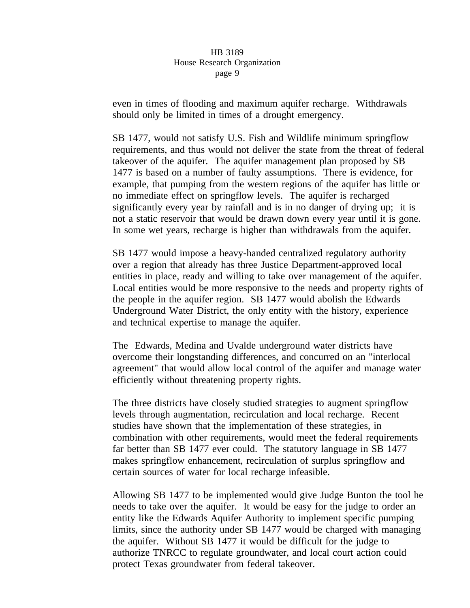even in times of flooding and maximum aquifer recharge. Withdrawals should only be limited in times of a drought emergency.

SB 1477, would not satisfy U.S. Fish and Wildlife minimum springflow requirements, and thus would not deliver the state from the threat of federal takeover of the aquifer. The aquifer management plan proposed by SB 1477 is based on a number of faulty assumptions. There is evidence, for example, that pumping from the western regions of the aquifer has little or no immediate effect on springflow levels. The aquifer is recharged significantly every year by rainfall and is in no danger of drying up; it is not a static reservoir that would be drawn down every year until it is gone. In some wet years, recharge is higher than withdrawals from the aquifer.

SB 1477 would impose a heavy-handed centralized regulatory authority over a region that already has three Justice Department-approved local entities in place, ready and willing to take over management of the aquifer. Local entities would be more responsive to the needs and property rights of the people in the aquifer region. SB 1477 would abolish the Edwards Underground Water District, the only entity with the history, experience and technical expertise to manage the aquifer.

The Edwards, Medina and Uvalde underground water districts have overcome their longstanding differences, and concurred on an "interlocal agreement" that would allow local control of the aquifer and manage water efficiently without threatening property rights.

The three districts have closely studied strategies to augment springflow levels through augmentation, recirculation and local recharge. Recent studies have shown that the implementation of these strategies, in combination with other requirements, would meet the federal requirements far better than SB 1477 ever could. The statutory language in SB 1477 makes springflow enhancement, recirculation of surplus springflow and certain sources of water for local recharge infeasible.

Allowing SB 1477 to be implemented would give Judge Bunton the tool he needs to take over the aquifer. It would be easy for the judge to order an entity like the Edwards Aquifer Authority to implement specific pumping limits, since the authority under SB 1477 would be charged with managing the aquifer. Without SB 1477 it would be difficult for the judge to authorize TNRCC to regulate groundwater, and local court action could protect Texas groundwater from federal takeover.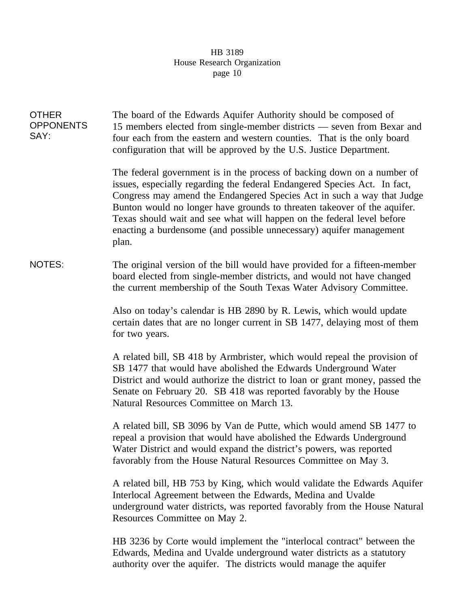| <b>OTHER</b><br><b>OPPONENTS</b><br>SAY: | The board of the Edwards Aquifer Authority should be composed of<br>15 members elected from single-member districts — seven from Bexar and<br>four each from the eastern and western counties. That is the only board<br>configuration that will be approved by the U.S. Justice Department.                                                                                                                                                                         |  |  |  |
|------------------------------------------|----------------------------------------------------------------------------------------------------------------------------------------------------------------------------------------------------------------------------------------------------------------------------------------------------------------------------------------------------------------------------------------------------------------------------------------------------------------------|--|--|--|
|                                          | The federal government is in the process of backing down on a number of<br>issues, especially regarding the federal Endangered Species Act. In fact,<br>Congress may amend the Endangered Species Act in such a way that Judge<br>Bunton would no longer have grounds to threaten takeover of the aquifer.<br>Texas should wait and see what will happen on the federal level before<br>enacting a burdensome (and possible unnecessary) aquifer management<br>plan. |  |  |  |
| <b>NOTES:</b>                            | The original version of the bill would have provided for a fifteen-member<br>board elected from single-member districts, and would not have changed<br>the current membership of the South Texas Water Advisory Committee.                                                                                                                                                                                                                                           |  |  |  |
|                                          | Also on today's calendar is HB 2890 by R. Lewis, which would update<br>certain dates that are no longer current in SB 1477, delaying most of them<br>for two years.                                                                                                                                                                                                                                                                                                  |  |  |  |
|                                          | A related bill, SB 418 by Armbrister, which would repeal the provision of<br>SB 1477 that would have abolished the Edwards Underground Water<br>District and would authorize the district to loan or grant money, passed the<br>Senate on February 20. SB 418 was reported favorably by the House<br>Natural Resources Committee on March 13.                                                                                                                        |  |  |  |
|                                          | A related bill, SB 3096 by Van de Putte, which would amend SB 1477 to<br>repeal a provision that would have abolished the Edwards Underground<br>Water District and would expand the district's powers, was reported<br>favorably from the House Natural Resources Committee on May 3.                                                                                                                                                                               |  |  |  |
|                                          | A related bill, HB 753 by King, which would validate the Edwards Aquifer<br>Interlocal Agreement between the Edwards, Medina and Uvalde<br>underground water districts, was reported favorably from the House Natural<br>Resources Committee on May 2.                                                                                                                                                                                                               |  |  |  |

HB 3236 by Corte would implement the "interlocal contract" between the Edwards, Medina and Uvalde underground water districts as a statutory authority over the aquifer. The districts would manage the aquifer